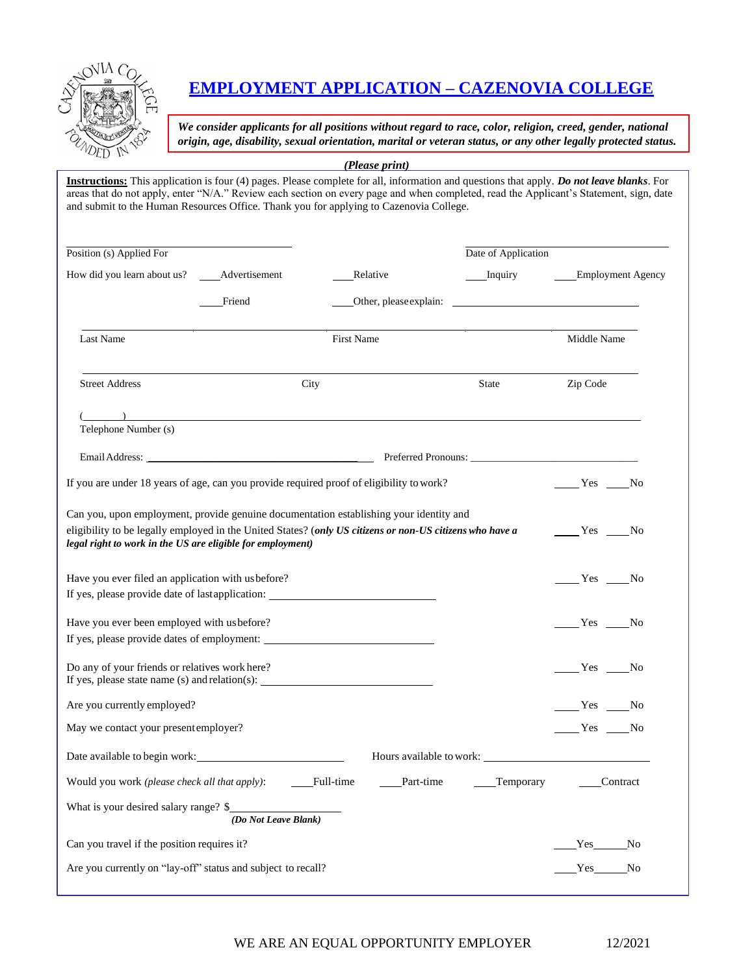

# **EMPLOYMENT APPLICATION – CAZENOVIA COLLEGE**

*We consider applicants for all positions without regard to race, color, religion, creed, gender, national origin, age, disability, sexual orientation, marital or veteran status, or any other legally protected status.*

*(Please print)*

**Instructions:** This application is four (4) pages. Please complete for all, information and questions that apply. *Do not leave blanks*. For areas that do not apply, enter "N/A." Review each section on every page and when completed, read the Applicant's Statement, sign, date and submit to the Human Resources Office. Thank you for applying to Cazenovia College.

| Position (s) Applied For                                                                                                                                                                                                                                         |                      |                                                                                                                                                                                                                                                                                                                                    | Date of Application    |                          |
|------------------------------------------------------------------------------------------------------------------------------------------------------------------------------------------------------------------------------------------------------------------|----------------------|------------------------------------------------------------------------------------------------------------------------------------------------------------------------------------------------------------------------------------------------------------------------------------------------------------------------------------|------------------------|--------------------------|
| How did you learn about us? _______ Advertisement                                                                                                                                                                                                                |                      | Relative                                                                                                                                                                                                                                                                                                                           | ____Inquiry            | <b>Employment Agency</b> |
|                                                                                                                                                                                                                                                                  | Friend               |                                                                                                                                                                                                                                                                                                                                    | Other, please explain: |                          |
| Last Name                                                                                                                                                                                                                                                        |                      | First Name                                                                                                                                                                                                                                                                                                                         |                        | Middle Name              |
| <b>Street Address</b>                                                                                                                                                                                                                                            |                      | City                                                                                                                                                                                                                                                                                                                               | State                  | Zip Code                 |
| Telephone Number (s)                                                                                                                                                                                                                                             |                      | $\overline{a}$ and $\overline{a}$ and $\overline{a}$ and $\overline{a}$ and $\overline{a}$ and $\overline{a}$ and $\overline{a}$ and $\overline{a}$ and $\overline{a}$ and $\overline{a}$ and $\overline{a}$ and $\overline{a}$ and $\overline{a}$ and $\overline{a}$ and $\overline{a}$ and $\overline{a}$ and $\overline{a}$ and |                        |                          |
|                                                                                                                                                                                                                                                                  |                      |                                                                                                                                                                                                                                                                                                                                    |                        |                          |
| If you are under 18 years of age, can you provide required proof of eligibility to work?                                                                                                                                                                         | No No                |                                                                                                                                                                                                                                                                                                                                    |                        |                          |
| Can you, upon employment, provide genuine documentation establishing your identity and<br>eligibility to be legally employed in the United States? (only US citizens or non-US citizens who have a<br>legal right to work in the US are eligible for employment) |                      |                                                                                                                                                                                                                                                                                                                                    |                        | $Yes$ No                 |
| Have you ever filed an application with us before?<br>If yes, please provide date of last application: _______________________________                                                                                                                           |                      |                                                                                                                                                                                                                                                                                                                                    |                        | $Yes$ No                 |
| Have you ever been employed with us before?                                                                                                                                                                                                                      |                      |                                                                                                                                                                                                                                                                                                                                    |                        | $Yes$ No                 |
| Do any of your friends or relatives work here?                                                                                                                                                                                                                   |                      |                                                                                                                                                                                                                                                                                                                                    |                        | Yes No                   |
| Are you currently employed?                                                                                                                                                                                                                                      |                      |                                                                                                                                                                                                                                                                                                                                    |                        | Yes No                   |
| May we contact your present employer?                                                                                                                                                                                                                            |                      |                                                                                                                                                                                                                                                                                                                                    |                        | Yes No                   |
| Date available to begin work:                                                                                                                                                                                                                                    |                      |                                                                                                                                                                                                                                                                                                                                    |                        |                          |
| Would you work (please check all that apply):                                                                                                                                                                                                                    |                      | Full-time<br>Part-time                                                                                                                                                                                                                                                                                                             | Temporary              | Contract                 |
| What is your desired salary range? \$                                                                                                                                                                                                                            | (Do Not Leave Blank) |                                                                                                                                                                                                                                                                                                                                    |                        |                          |
| Can you travel if the position requires it?                                                                                                                                                                                                                      |                      |                                                                                                                                                                                                                                                                                                                                    |                        | No<br>Yes                |
| Are you currently on "lay-off" status and subject to recall?                                                                                                                                                                                                     |                      |                                                                                                                                                                                                                                                                                                                                    |                        | Yes<br>No                |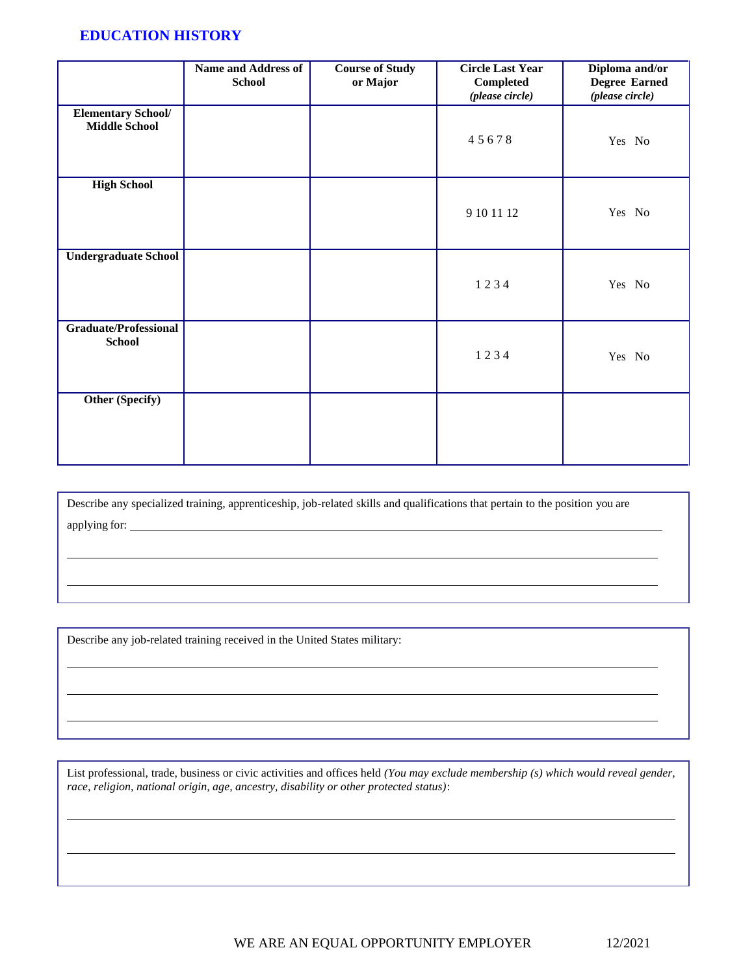### **EDUCATION HISTORY**

|                                                   | <b>Name and Address of</b><br><b>School</b> | <b>Course of Study</b><br>or Major | <b>Circle Last Year</b><br>Completed<br>(please circle) | Diploma and/or<br><b>Degree Earned</b><br>(please circle) |
|---------------------------------------------------|---------------------------------------------|------------------------------------|---------------------------------------------------------|-----------------------------------------------------------|
| <b>Elementary School/</b><br><b>Middle School</b> |                                             |                                    | 45678                                                   | Yes No                                                    |
| <b>High School</b>                                |                                             |                                    | 9 10 11 12                                              | Yes No                                                    |
| <b>Undergraduate School</b>                       |                                             |                                    | 1234                                                    | Yes No                                                    |
| <b>Graduate/Professional</b><br><b>School</b>     |                                             |                                    | 1234                                                    | Yes No                                                    |
| Other (Specify)                                   |                                             |                                    |                                                         |                                                           |

Describe any specialized training, apprenticeship, job-related skills and qualifications that pertain to the position you are applying for:

Describe any job-related training received in the United States military:

List professional, trade, business or civic activities and offices held *(You may exclude membership (s) which would reveal gender, race, religion, national origin, age, ancestry, disability or other protected status)*: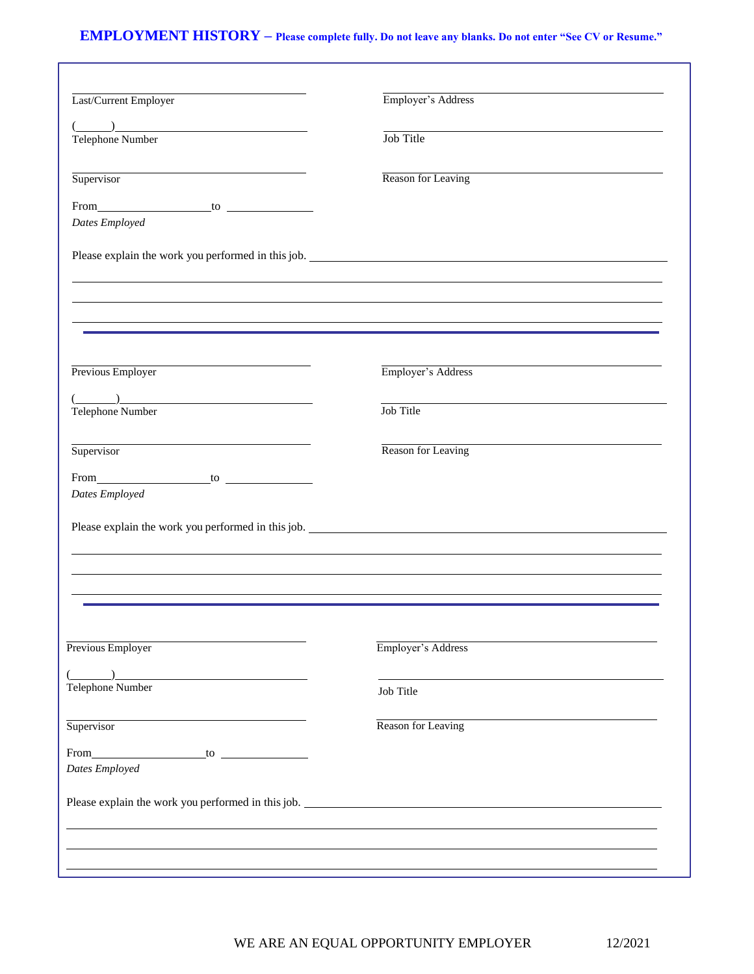# **EMPLOYMENT HISTORY – Please complete fully. Do not leave any blanks. Do not enter "See CV or Resume."**

| Last/Current Employer                                                                                                                                                                                                                                                                                                                                                                                                                                                           | Employer's Address                                                                               |
|---------------------------------------------------------------------------------------------------------------------------------------------------------------------------------------------------------------------------------------------------------------------------------------------------------------------------------------------------------------------------------------------------------------------------------------------------------------------------------|--------------------------------------------------------------------------------------------------|
| $(\hskip-6pt\hskip-6pt\hskip-6pt\hskip-6pt\hskip-6pt\hskip-6pt\hskip-6pt\hskip-6pt\hskip-6pt\hskip-6pt\hskip-6pt\hskip-6pt\hskip-6pt\hskip-6pt\hskip-6pt\hskip-6pt\hskip-6pt\hskip-6pt\hskip-6pt\hskip-6pt\hskip-6pt\hskip-6pt\hskip-6pt\hskip-6pt\hskip-6pt\hskip-6pt\hskip-6pt\hskip-6pt\hskip-6pt\hskip-6pt\hskip-6pt\hskip-6pt\hskip-6pt\hskip-6pt\hskip-6pt\hskip-6pt\hskip-$                                                                                              | Job Title                                                                                        |
| Telephone Number                                                                                                                                                                                                                                                                                                                                                                                                                                                                |                                                                                                  |
| Supervisor                                                                                                                                                                                                                                                                                                                                                                                                                                                                      | Reason for Leaving                                                                               |
| From $\qquad \qquad$ to $\qquad \qquad$ to $\qquad \qquad$                                                                                                                                                                                                                                                                                                                                                                                                                      |                                                                                                  |
| Dates Employed                                                                                                                                                                                                                                                                                                                                                                                                                                                                  |                                                                                                  |
|                                                                                                                                                                                                                                                                                                                                                                                                                                                                                 |                                                                                                  |
|                                                                                                                                                                                                                                                                                                                                                                                                                                                                                 |                                                                                                  |
|                                                                                                                                                                                                                                                                                                                                                                                                                                                                                 |                                                                                                  |
|                                                                                                                                                                                                                                                                                                                                                                                                                                                                                 | ,我们也不会有什么。""我们的人,我们也不会有什么?""我们的人,我们也不会有什么?""我们的人,我们也不会有什么?""我们的人,我们也不会有什么?""我们的人                 |
| Previous Employer                                                                                                                                                                                                                                                                                                                                                                                                                                                               | Employer's Address                                                                               |
|                                                                                                                                                                                                                                                                                                                                                                                                                                                                                 |                                                                                                  |
| $\overline{(\hspace{.1cm}\cdot\hspace{.1cm} \cdot \hspace{.1cm} \cdot \hspace{.1cm} \cdot \hspace{.1cm} \cdot \hspace{.1cm} \cdot \hspace{.1cm} \cdot \hspace{.1cm} \cdot \hspace{.1cm} \cdot \hspace{.1cm} \cdot \hspace{.1cm} \cdot \hspace{.1cm} \cdot \hspace{.1cm} \cdot \hspace{.1cm} \cdot \hspace{.1cm} \cdot \hspace{.1cm} \cdot \hspace{.1cm} \cdot \hspace{.1cm} \cdot \hspace{.1cm} \cdot \hspace{.1cm} \cdot \hspace{.1cm} \cdot \hspace{.1cm$<br>Telephone Number | Job Title                                                                                        |
| Supervisor                                                                                                                                                                                                                                                                                                                                                                                                                                                                      | the control of the control of the control of the control of the control of<br>Reason for Leaving |
|                                                                                                                                                                                                                                                                                                                                                                                                                                                                                 |                                                                                                  |
| Dates Employed                                                                                                                                                                                                                                                                                                                                                                                                                                                                  |                                                                                                  |
|                                                                                                                                                                                                                                                                                                                                                                                                                                                                                 |                                                                                                  |
|                                                                                                                                                                                                                                                                                                                                                                                                                                                                                 |                                                                                                  |
|                                                                                                                                                                                                                                                                                                                                                                                                                                                                                 |                                                                                                  |
|                                                                                                                                                                                                                                                                                                                                                                                                                                                                                 |                                                                                                  |
| Previous Employer                                                                                                                                                                                                                                                                                                                                                                                                                                                               | Employer's Address                                                                               |
|                                                                                                                                                                                                                                                                                                                                                                                                                                                                                 |                                                                                                  |
| Telephone Number                                                                                                                                                                                                                                                                                                                                                                                                                                                                | Job Title                                                                                        |
| Supervisor                                                                                                                                                                                                                                                                                                                                                                                                                                                                      | Reason for Leaving                                                                               |
|                                                                                                                                                                                                                                                                                                                                                                                                                                                                                 |                                                                                                  |
| From to to the same state of the same state of the same state of the same state of the same state of the same state of the same state of the same state of the same state of the same state of the same state of the same stat<br>Dates Employed                                                                                                                                                                                                                                |                                                                                                  |
|                                                                                                                                                                                                                                                                                                                                                                                                                                                                                 |                                                                                                  |
|                                                                                                                                                                                                                                                                                                                                                                                                                                                                                 |                                                                                                  |
|                                                                                                                                                                                                                                                                                                                                                                                                                                                                                 |                                                                                                  |
|                                                                                                                                                                                                                                                                                                                                                                                                                                                                                 |                                                                                                  |